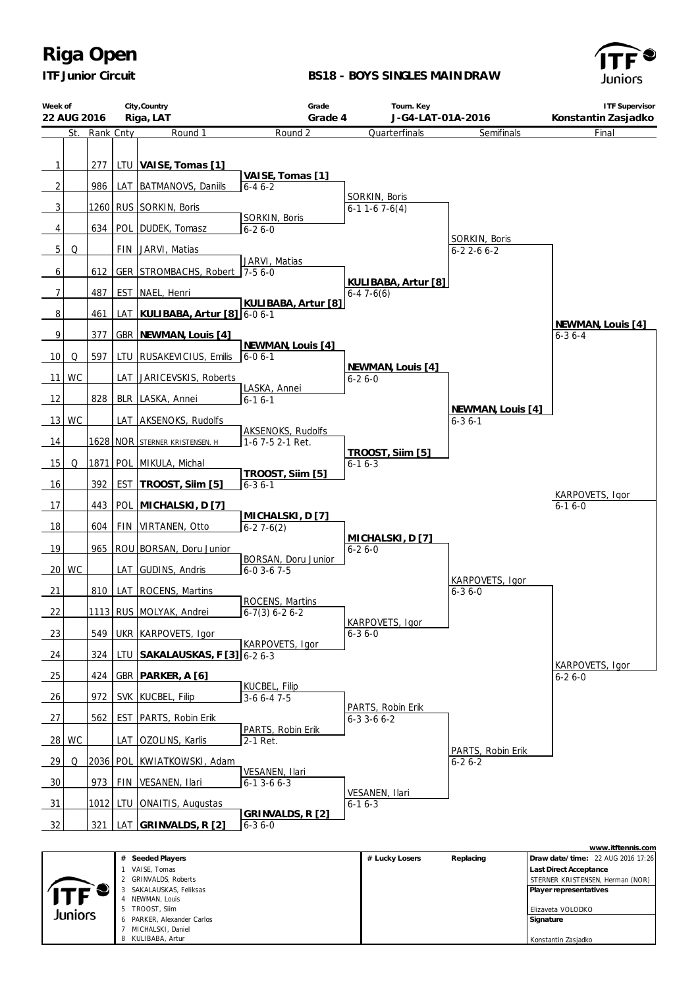

### **BS18 - BOYS SINGLES MAIN DRAW**



| Week of<br>22 AUG 2016 | City, Country<br>Riga, LAT |            | Grade<br>Tourn. Key<br>J-G4-LAT-01A-2016<br>Grade 4 |                                              |                                        | <b>ITF Supervisor</b><br>Konstantin Zasjadko |                                   |
|------------------------|----------------------------|------------|-----------------------------------------------------|----------------------------------------------|----------------------------------------|----------------------------------------------|-----------------------------------|
| St.                    | Rank Cnty                  |            | Round 1                                             | Round 2                                      | Quarterfinals                          | Semifinals                                   | Final                             |
| $\mathbf{1}$           | 277                        |            | LTU VAISE, Tomas [1]                                |                                              |                                        |                                              |                                   |
| $\overline{2}$         | 986                        |            | LAT   BATMANOVS, Daniils                            | VAISE, Tomas [1]<br>$6 - 46 - 2$             |                                        |                                              |                                   |
| 3                      |                            |            | 1260 RUS SORKIN, Boris                              |                                              | SORKIN, Boris<br>$6-11-67-6(4)$        |                                              |                                   |
| 4                      | 634                        |            | POL DUDEK, Tomasz                                   | SORKIN, Boris<br>$6 - 26 - 0$                |                                        |                                              |                                   |
| $5\,$<br>Q             |                            |            | FIN   JARVI, Matias                                 |                                              |                                        | SORKIN, Boris<br>$6 - 22 - 66 - 2$           |                                   |
| 6                      | 612                        |            | GER STROMBACHS, Robert 7-5 6-0                      | JARVI, Matias                                |                                        |                                              |                                   |
| $\overline{7}$         | 487                        |            | EST NAEL, Henri                                     | KULIBABA, Artur [8]                          | KULIBABA, Artur [8]<br>$6-47-6(6)$     |                                              |                                   |
| 8                      | 461                        | LAT        | KULIBABA, Artur [8] 6-0 6-1                         |                                              |                                        |                                              |                                   |
| 9                      | 377                        |            | GBR NEWMAN, Louis [4]                               |                                              |                                        |                                              | NEWMAN, Louis [4]<br>$6 - 36 - 4$ |
| 10<br>Q                | 597                        |            | LTU RUSAKEVICIUS, Emilis                            | NEWMAN, Louis [4]<br>$6 - 06 - 1$            | NEWMAN, Louis [4]                      |                                              |                                   |
| 11<br><b>WC</b>        |                            |            | LAT JARICEVSKIS, Roberts                            | LASKA, Annei                                 | $6 - 26 - 0$                           |                                              |                                   |
| 12                     | 828                        |            | BLR LASKA, Annei                                    | $6 - 16 - 1$                                 |                                        |                                              |                                   |
| 13<br><b>WC</b>        |                            |            | LAT AKSENOKS, Rudolfs                               |                                              |                                        | NEWMAN, Louis [4]<br>$6 - 36 - 1$            |                                   |
| 14                     |                            |            | 1628 NOR STERNER KRISTENSEN, H                      | <b>AKSENOKS, Rudolfs</b><br>1-6 7-5 2-1 Ret. |                                        |                                              |                                   |
| 15<br>Q                |                            |            | 1871 POL MIKULA, Michal                             |                                              | TROOST, Silm [5]<br>$6 - 16 - 3$       |                                              |                                   |
| 16                     | 392                        |            | EST   TROOST, Silm [5]                              | TROOST, Siim [5]<br>$6 - 36 - 1$             |                                        |                                              |                                   |
| 17                     | 443                        |            | POL MICHALSKI, D [7]                                |                                              |                                        |                                              | KARPOVETS, Igor<br>$6 - 16 - 0$   |
| 18                     | 604                        |            | FIN   VIRTANEN, Otto                                | MICHALSKI, D [7]<br>$6-27-6(2)$              |                                        |                                              |                                   |
| 19                     |                            |            | 965 ROU BORSAN, Doru Junior                         |                                              | MICHALSKI, D [7]<br>$6 - 26 - 0$       |                                              |                                   |
| WC<br>20               |                            |            | LAT GUDINS, Andris                                  | BORSAN, Doru Junior<br>$6 - 03 - 67 - 5$     |                                        |                                              |                                   |
| 21                     | 810                        |            | LAT ROCENS, Martins                                 |                                              |                                        | KARPOVETS, Igor<br>$6 - 36 - 0$              |                                   |
| 22                     |                            |            | 1113 RUS MOLYAK, Andrei                             | ROCENS, Martins<br>$6-7(3) 6-2 6-2$          |                                        |                                              |                                   |
| 23                     | 549                        |            | UKR KARPOVETS, Igor                                 |                                              | KARPOVETS, Igor<br>$6 - 36 - 0$        |                                              |                                   |
| $-24$                  | 324                        |            | LTU   SAKALAUSKAS, F [3] 6-2 6-3                    | KARPOVETS, Igor                              |                                        |                                              | KARPOVETS, Igor                   |
| $-25$                  | 424                        |            | GBR   PARKER, A [6]                                 |                                              |                                        |                                              | $6 - 26 - 0$                      |
| $-26$                  | 972                        |            | SVK KUCBEL, Filip                                   | KUCBEL, Filip<br>$3-66-47-5$                 |                                        |                                              |                                   |
| 27                     | 562                        | <b>EST</b> | PARTS, Robin Erik                                   |                                              | PARTS, Robin Erik<br>$6 - 33 - 66 - 2$ |                                              |                                   |
| 28 WC                  |                            |            | LAT   OZOLINS, Karlis                               | PARTS, Robin Erik<br>2-1 Ret.                |                                        | PARTS, Robin Erik                            |                                   |
| 29<br>Q                |                            |            | 2036 POL KWIATKOWSKI, Adam                          |                                              |                                        | $6 - 26 - 2$                                 |                                   |
| 30                     | 973 l                      |            | FIN   VESANEN, Ilari                                | VESANEN, Ilari<br>$6 - 1$ 3 - 6 $6 - 3$      |                                        |                                              |                                   |
| 31                     |                            |            | 1012 LTU ONAITIS, Augustas                          |                                              | VESANEN, Ilari<br>$6 - 16 - 3$         |                                              |                                   |
| 32                     |                            |            | 321   LAT   GRINVALDS, R [2]                        | GRINVALDS, R [2]<br>$6 - 36 - 0$             |                                        |                                              |                                   |

|         |                               |                |           | www.itftennis.com                 |
|---------|-------------------------------|----------------|-----------|-----------------------------------|
|         | # Seeded Players              | # Lucky Losers | Replacing | Draw date/time: 22 AUG 2016 17:26 |
|         | VAISE, Tomas                  |                |           | Last Direct Acceptance            |
|         | 2 GRINVALDS, Roberts          |                |           | STERNER KRISTENSEN, Herman (NOR)  |
| $T$ $F$ | SAKALAUSKAS, Feliksas         |                |           | Player representatives            |
|         | NEWMAN, Louis                 |                |           |                                   |
| Juniors | TROOST, Siim<br>5             |                |           | Elizaveta VOLODKO                 |
|         | PARKER, Alexander Carlos<br>6 |                |           | Signature                         |
|         | MICHALSKI, Daniel             |                |           |                                   |
|         | 8 KULIBABA, Artur             |                |           | Konstantin Zasjadko               |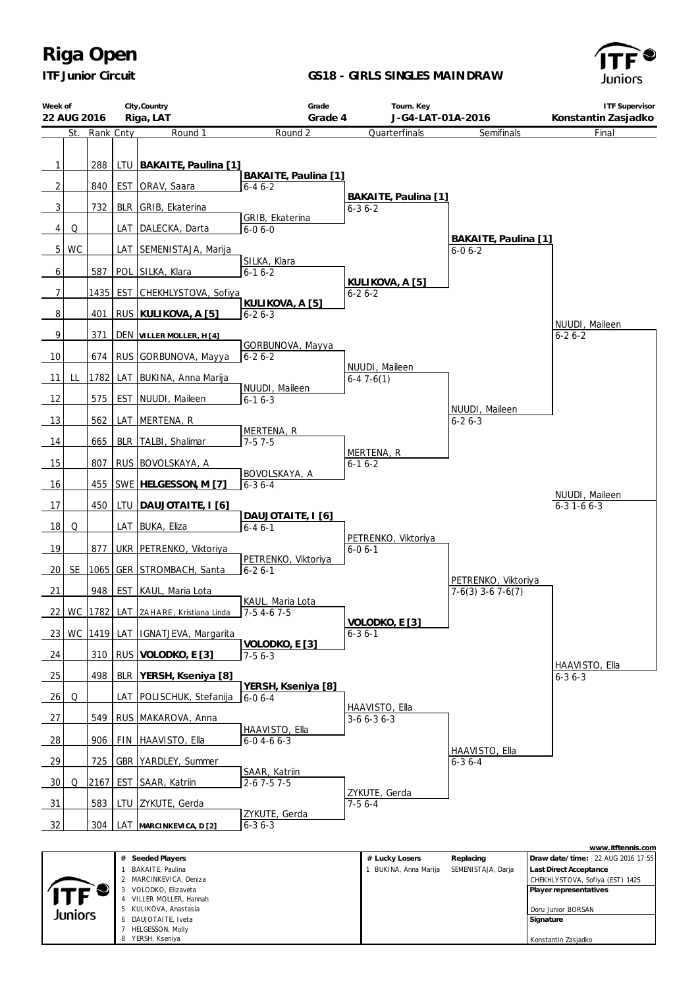*ITF Junior Circuit*

#### **GS18 - GIRLS SINGLES MAIN DRAW**





|         | # Seeded Players        | # Lucky Losers      | Replacing          | Draw date/time: 22 AUG 2016 17:55 |
|---------|-------------------------|---------------------|--------------------|-----------------------------------|
|         | BAKAITE, Paulina        | BUKINA, Anna Marija | SEMENISTAJA, Darja | <b>Last Direct Acceptance</b>     |
|         | MARCINKEVICA, Deniza    |                     |                    | CHEKHLYSTOVA, Sofiya (EST) 1425   |
|         | VOLODKO, Elizaveta<br>3 |                     |                    | Player representatives            |
|         | VILLER MOLLER, Hannah   |                     |                    |                                   |
| Juniors | 5 KULIKOVA, Anastasia   |                     |                    | Doru Junior BORSAN                |
|         | DAUJOTAITE, Iveta<br>6. |                     |                    | Signature                         |
|         | HELGESSON, Molly        |                     |                    |                                   |
|         | YERSH, Kseniya<br>8     |                     |                    | Konstantin Zasiadko               |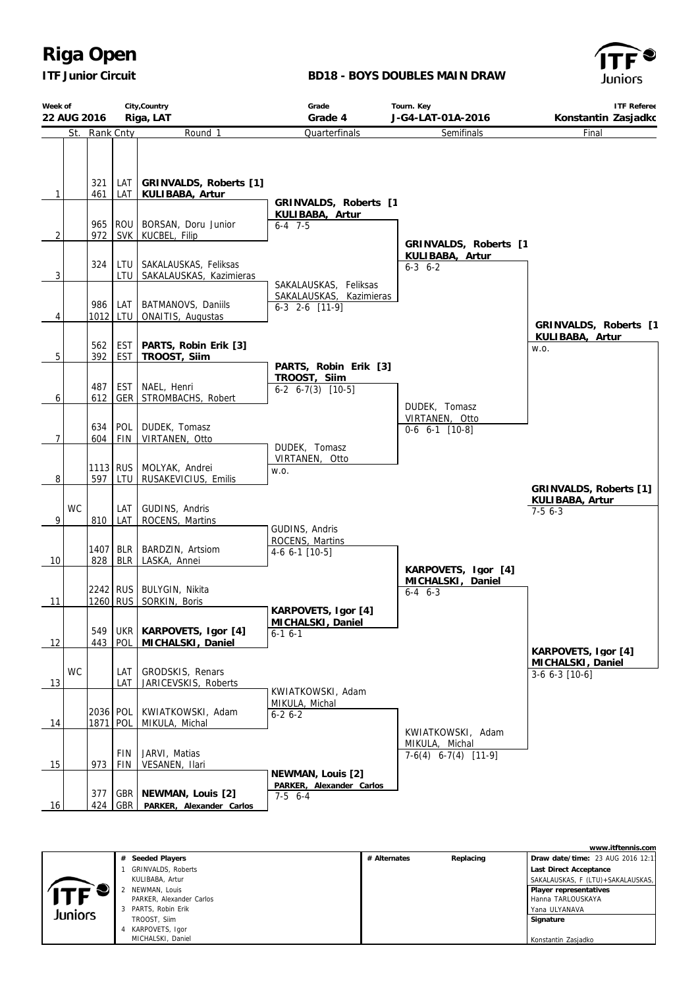*ITF Junior Circuit*

### **BD18 - BOYS DOUBLES MAIN DRAW**



| Week of         | City, Country<br>22 AUG 2016<br>Riga, LAT |                      |                   | Tourn. Key<br>Grade<br>Grade 4<br>J-G4-LAT-01A-2016    |                                                                  | <b>ITF Referee</b><br>Konstantin Zasjadkc                     |                                                            |
|-----------------|-------------------------------------------|----------------------|-------------------|--------------------------------------------------------|------------------------------------------------------------------|---------------------------------------------------------------|------------------------------------------------------------|
|                 |                                           | St. Rank Cnty        |                   | Round 1                                                | Quarterfinals                                                    | Semifinals                                                    | Final                                                      |
| $\mathbf{1}$    |                                           | 321<br>461           | LAT I<br>LAT      | GRINVALDS, Roberts [1]<br>KULIBABA, Artur              |                                                                  |                                                               |                                                            |
| $\overline{2}$  |                                           | 965<br>972           |                   | ROU   BORSAN, Doru Junior<br>SVK KUCBEL, Filip         | GRINVALDS, Roberts [1<br>KULIBABA, Artur<br>$6 - 4$ 7-5          | GRINVALDS, Roberts [1                                         |                                                            |
| $\overline{3}$  |                                           | 324                  | LTU I             | LTU   SAKALAUSKAS, Feliksas<br>SAKALAUSKAS, Kazimieras | SAKALAUSKAS, Feliksas                                            | KULIBABA, Artur<br>$6-3$ $6-2$                                |                                                            |
| 4               |                                           | 986                  | LAT<br>1012 LTU   | BATMANOVS, Daniils<br>ONAITIS, Augustas                | SAKALAUSKAS, Kazimieras<br>6-3 2-6 [11-9]                        |                                                               | GRINVALDS, Roberts [1                                      |
| $\overline{5}$  |                                           | 562<br>392           | <b>EST</b><br>EST | PARTS, Robin Erik [3]<br>TROOST, Siim                  |                                                                  |                                                               | KULIBABA, Artur<br>W.O.                                    |
| $\overline{6}$  |                                           | 487<br>612           | EST               | NAEL, Henri<br>GER STROMBACHS, Robert                  | PARTS, Robin Erik [3]<br>TROOST, Siim<br>$6-2$ $6-7(3)$ $[10-5]$ | DUDEK, Tomasz                                                 |                                                            |
| $\overline{7}$  |                                           | 634<br>604           | POL  <br>FIN      | DUDEK, Tomasz<br>VIRTANEN, Otto                        | DUDEK, Tomasz                                                    | VIRTANEN, Otto<br>$0-6$ 6-1 $[10-8]$                          |                                                            |
| 8               |                                           | 597                  | LTU               | 1113 RUS   MOLYAK, Andrei<br>RUSAKEVICIUS, Emilis      | VIRTANEN, Otto<br>W.O.                                           |                                                               |                                                            |
| 9               | <b>WC</b>                                 | 810                  | LAT I<br>LAT      | GUDINS, Andris<br>ROCENS, Martins                      |                                                                  |                                                               | GRINVALDS, Roberts [1]<br>KULIBABA, Artur<br>$7-56-3$      |
| 10 <sup>°</sup> |                                           | 828                  | <b>BLR</b>        | 1407   BLR   BARDZIN, Artsiom<br>LASKA, Annei          | GUDINS, Andris<br>ROCENS, Martins<br>4-6 6-1 [10-5]              | KARPOVETS, Igor [4]                                           |                                                            |
| 11              |                                           |                      |                   | 2242 RUS   BULYGIN, Nikita<br>1260 RUS   SORKIN, Boris | KARPOVETS, Igor [4]                                              | MICHALSKI, Daniel<br>$6 - 4$ $6 - 3$                          |                                                            |
| 12              |                                           | 549<br>443           | <b>POL</b>        | UKR   KARPOVETS, Igor [4]<br>MICHALSKI, Daniel         | MICHALSKI, Daniel<br>$6-16-1$                                    |                                                               |                                                            |
| 13              | <b>WC</b>                                 |                      | LAT<br>LAT        | GRODSKIS, Renars<br>JARICEVSKIS, Roberts               |                                                                  |                                                               | KARPOVETS, Igor [4]<br>MICHALSKI, Daniel<br>3-6 6-3 [10-6] |
| 14              |                                           | 2036 POL<br>1871 POL |                   | KWIATKOWSKI, Adam<br>MIKULA, Michal                    | KWIATKOWSKI, Adam<br>MIKULA, Michal<br>$6 - 26 - 2$              |                                                               |                                                            |
| 15              |                                           | 973                  | FIN<br>FIN        | JARVI, Matias<br>VESANEN, Ilari                        |                                                                  | KWIATKOWSKI, Adam<br>MIKULA, Michal<br>$7-6(4)$ 6-7(4) [11-9] |                                                            |
| 16              |                                           | 377<br>424           | <b>GBR</b>        | GBR   NEWMAN, Louis [2]<br>PARKER, Alexander Carlos    | NEWMAN, Louis [2]<br>PARKER, Alexander Carlos<br>$7-5$ 6-4       |                                                               |                                                            |

|         |                          |              |           | www.itftennis.com                 |
|---------|--------------------------|--------------|-----------|-----------------------------------|
|         | # Seeded Players         | # Alternates | Replacing | Draw date/time: 23 AUG 2016 12:1  |
|         | GRINVALDS, Roberts       |              |           | Last Direct Acceptance            |
|         | KULIBABA, Artur          |              |           | SAKALAUSKAS, F (LTU)+SAKALAUSKAS, |
|         | NEWMAN, Louis            |              |           | Player representatives            |
|         | PARKER, Alexander Carlos |              |           | Hanna TARLOUSKAYA                 |
| Juniors | 3 PARTS, Robin Erik      |              |           | Yana ULYANAVA                     |
|         | TROOST, Silm             |              |           | Signature                         |
|         | KARPOVETS, Igor          |              |           |                                   |
|         | MICHALSKI, Daniel        |              |           | Konstantin Zasjadko               |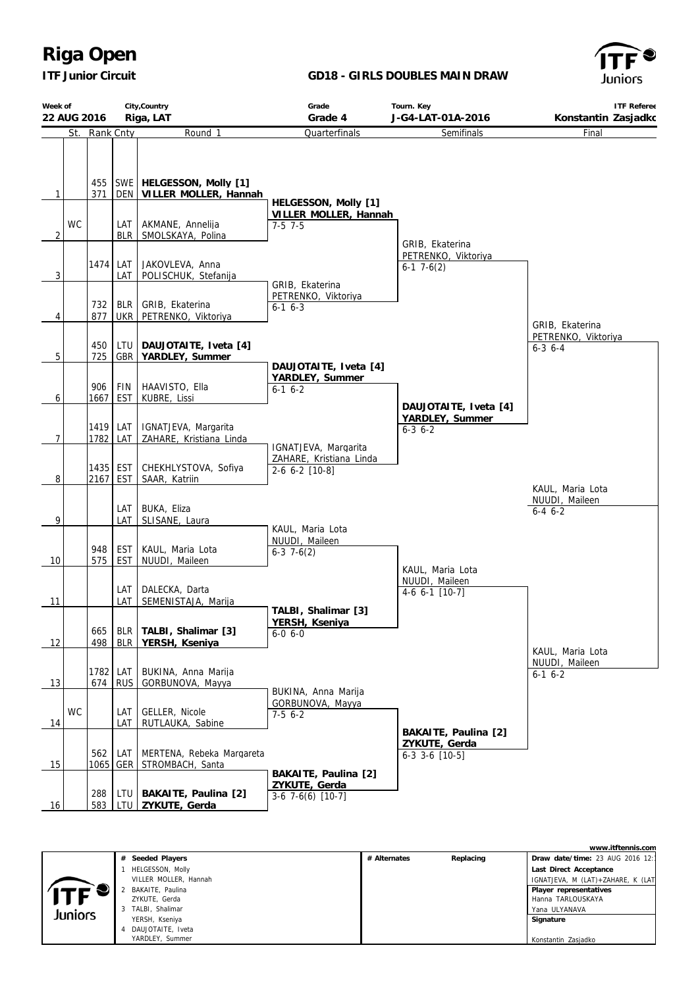*ITF Junior Circuit*

#### **GD18 - GIRLS DOUBLES MAIN DRAW**



| Week of        | City, Country<br>22 AUG 2016 |                 |                          | Grade<br>Tourn. Key                                             |                                                         | <b>ITF Referee</b>                                          |                                      |
|----------------|------------------------------|-----------------|--------------------------|-----------------------------------------------------------------|---------------------------------------------------------|-------------------------------------------------------------|--------------------------------------|
|                |                              |                 |                          | Riga, LAT                                                       | Grade 4                                                 | J-G4-LAT-01A-2016                                           | Konstantin Zasjadkc                  |
|                |                              | St. Rank Cnty   |                          | Round 1                                                         | Quarterfinals                                           | Semifinals                                                  | Final                                |
| $\mathbf{1}$   |                              | 371             |                          | 455   SWE   HELGESSON, Molly [1]<br>DEN   VILLER MOLLER, Hannah | HELGESSON, Molly [1]<br>VILLER MOLLER, Hannah           |                                                             |                                      |
| 2              | WC                           |                 | LAT I                    | AKMANE, Annelija<br>BLR   SMOLSKAYA, Polina                     | $7-5$ 7-5                                               |                                                             |                                      |
| 3              |                              | 1474            | LAT I<br>LAT             | JAKOVLEVA, Anna<br>POLISCHUK, Stefanija                         | GRIB, Ekaterina                                         | GRIB, Ekaterina<br>PETRENKO, Viktoriya<br>$6-1$ 7 $-6(2)$   |                                      |
| 4              |                              | 732<br>877      |                          | BLR   GRIB, Ekaterina<br>UKR PETRENKO, Viktoriya                | PETRENKO, Viktoriya<br>$6-1$ $6-3$                      |                                                             | GRIB, Ekaterina                      |
| 5              |                              | 450<br>725      |                          | LTU   DAUJOTAITE, Iveta [4]<br>GBR YARDLEY, Summer              |                                                         |                                                             | PETRENKO, Viktoriya<br>$6 - 3$ 6 - 4 |
| 6              |                              | 906<br>1667     | <b>FIN</b><br><b>EST</b> | HAAVISTO, Ella<br>KUBRE, Lissi                                  | DAUJOTAITE, Iveta [4]<br>YARDLEY, Summer<br>$6-1$ $6-2$ | DAUJOTAITE, Iveta [4]                                       |                                      |
| $\overline{7}$ |                              | 1419<br>1782    | LAT  <br>LAT             | IGNATJEVA, Margarita<br>ZAHARE, Kristiana Linda                 | IGNATJEVA, Margarita                                    | YARDLEY, Summer<br>$6 - 3 6 - 2$                            |                                      |
| 8              |                              | 2167            | <b>EST</b>               | 1435   EST   CHEKHLYSTOVA, Sofiya<br>SAAR, Katriin              | ZAHARE, Kristiana Linda<br>$2-6$ 6-2 $[10-8]$           |                                                             | KAUL, Maria Lota                     |
| 9              |                              |                 | LAT                      | LAT BUKA, Eliza<br>SLISANE, Laura                               | KAUL, Maria Lota                                        |                                                             | NUUDI, Maileen<br>$6 - 4 6 - 2$      |
| 10             |                              | 948<br>575      | <b>EST</b>               | EST   KAUL, Maria Lota<br>NUUDI, Maileen                        | NUUDI, Maileen<br>$6-3$ 7 $-6(2)$                       | KAUL, Maria Lota                                            |                                      |
| 11             |                              |                 | LAT I<br>LAT             | DALECKA, Darta<br>SEMENISTAJA, Marija                           | TALBI, Shalimar [3]                                     | NUUDI, Maileen<br>4-6 6-1 [10-7]                            |                                      |
| 12             |                              | 665<br>498      | BLR                      | BLR   TALBI, Shalimar [3]<br>YERSH, Kseniya                     | YERSH, Kseniya<br>$6 - 0 6 - 0$                         |                                                             | KAUL, Maria Lota                     |
| 13             |                              | 1782 LAT<br>674 | <b>RUS</b>               | BUKINA, Anna Marija<br>GORBUNOVA, Mayya                         | BUKINA, Anna Marija                                     |                                                             | NUUDI, Maileen<br>$6-1$ $6-2$        |
| 14             | <b>WC</b>                    |                 | LAT<br>LAT               | GELLER, Nicole<br>RUTLAUKA, Sabine                              | GORBUNOVA, Mayya<br>$7-56-2$                            |                                                             |                                      |
| 15             |                              | 562             | LAT                      | MERTENA, Rebeka Margareta<br>1065   GER   STROMBACH, Santa      | BAKAITE, Paulina [2]                                    | BAKAITE, Paulina [2]<br>ZYKUTE, Gerda<br>$6-3$ 3-6 $[10-5]$ |                                      |
| 16             |                              | 288<br>583      | LTU  <br>LTU             | BAKAITE, Paulina [2]<br>ZYKUTE, Gerda                           | ZYKUTE, Gerda<br>$3-6$ 7 $-6(6)$ [10 $-7$ ]             |                                                             |                                      |

**www.itftennis.com # Seeded Players # Alternates Replacing Draw date/time:** 23 AUG 2016 12:11 1 HELGESSON, Molly  **Last Direct Acceptance** VILLER MOLLER, Hannah IGNATJEVA, M (LAT)+ZAHARE, K (LAT) 2 BAKAITE, Paulina y  **Player representatives** ZYKUTE, Gerda Hanna TARLOUSKAYA Yana ULYANAVA 3 TALBI, Shalimar Juniors  **Signature** YERSH, Kseniya 4 DAUJOTAITE, Iveta Konstantin ZasjadkoYARDLEY, Summer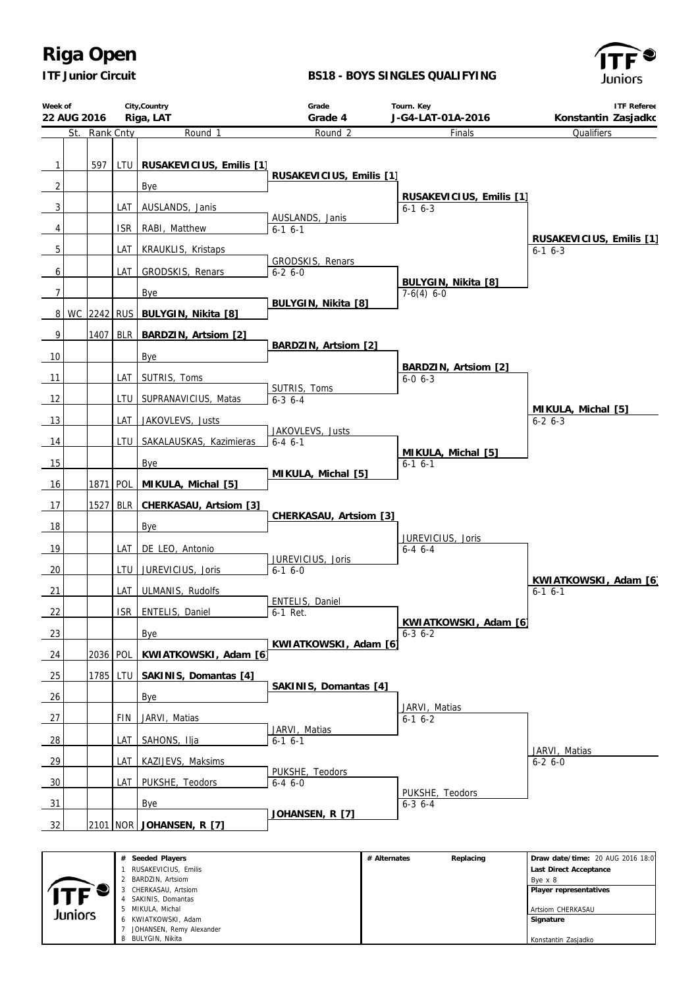*ITF Junior Circuit*

 SAKINIS, Domantas MIKULA, Michal KWIATKOWSKI, Adam JOHANSEN, Remy Alexander BULYGIN, Nikita

Juniors

### **BS18 - BOYS SINGLES QUALIFYING**



 Artsiom CHERKASAU  **Signature**

Konstantin Zasjadko

| Week of<br>22 AUG 2016 |           |            | City, Country<br>Riga, LAT                                                                                      | Grade<br>Grade 4                 |              | Tourn. Key<br>J-G4-LAT-01A-2016          | <b>ITF Referee</b><br>Konstantin Zasjadkc                                                       |
|------------------------|-----------|------------|-----------------------------------------------------------------------------------------------------------------|----------------------------------|--------------|------------------------------------------|-------------------------------------------------------------------------------------------------|
| St.                    | Rank Cnty |            | Round 1                                                                                                         | Round <sub>2</sub>               |              | Finals                                   | Qualifiers                                                                                      |
| $\mathbf{1}$           |           |            | 597   LTU   RUSAKEVICIUS, Emilis [1]                                                                            | RUSAKEVICIUS, Emilis [1]         |              |                                          |                                                                                                 |
| $\overline{2}$         |           |            | Bye                                                                                                             |                                  |              |                                          |                                                                                                 |
| 3                      |           | LAT        | AUSLANDS, Janis                                                                                                 |                                  |              | RUSAKEVICIUS, Emilis [1]<br>$6-1$ $6-3$  |                                                                                                 |
| 4                      |           | <b>ISR</b> | RABI, Matthew                                                                                                   | AUSLANDS, Janis<br>$6-1$ $6-1$   |              |                                          |                                                                                                 |
| 5                      |           | LAT        | <b>KRAUKLIS, Kristaps</b>                                                                                       | GRODSKIS, Renars                 |              |                                          | RUSAKEVICIUS, Emilis [1]<br>$6-1$ $6-3$                                                         |
| 6                      |           | LAT        | GRODSKIS, Renars                                                                                                | $6 - 26 - 0$                     |              |                                          |                                                                                                 |
| $\overline{7}$         |           |            | Bye                                                                                                             |                                  |              | BULYGIN, Nikita [8]<br>$7-6(4) 6-0$      |                                                                                                 |
|                        |           |            | 8 WC 2242 RUS BULYGIN, Nikita [8]                                                                               | BULYGIN, Nikita [8]              |              |                                          |                                                                                                 |
| 9                      |           |            | 1407   BLR   BARDZIN, Artsiom [2]                                                                               |                                  |              |                                          |                                                                                                 |
| 10                     |           |            | Bye                                                                                                             | BARDZIN, Artsiom [2]             |              |                                          |                                                                                                 |
| 11                     |           | LAT        | SUTRIS, Toms                                                                                                    |                                  |              | BARDZIN, Artsiom [2]                     |                                                                                                 |
|                        |           |            |                                                                                                                 | SUTRIS, Toms                     |              | $6 - 0, 6 - 3$                           |                                                                                                 |
| 12                     |           | LTU        | SUPRANAVICIUS, Matas                                                                                            | $6 - 3$ $6 - 4$                  |              |                                          | MIKULA, Michal [5]                                                                              |
| 13                     |           | LAT        | JAKOVLEVS, Justs                                                                                                | JAKOVLEVS, Justs                 |              |                                          | $6 - 2 6 - 3$                                                                                   |
| 14                     |           | LTU        | SAKALAUSKAS, Kazimieras                                                                                         | $6 - 4 6 - 1$                    |              |                                          |                                                                                                 |
| $-15$                  |           |            | Bye                                                                                                             |                                  |              | MIKULA, Michal [5]<br>$6-1$ $6-1$        |                                                                                                 |
| 16                     | 1871 POL  |            | MIKULA, Michal [5]                                                                                              | MIKULA, Michal [5]               |              |                                          |                                                                                                 |
| $-17$                  | 1527 BLR  |            | CHERKASAU, Artsiom [3]                                                                                          |                                  |              |                                          |                                                                                                 |
| 18                     |           |            | Bye                                                                                                             | CHERKASAU, Artsiom [3]           |              |                                          |                                                                                                 |
| 19                     |           | LAT        | DE LEO, Antonio                                                                                                 |                                  |              | JUREVICIUS, Joris<br>$6 - 4$ $6 - 4$     |                                                                                                 |
|                        |           |            |                                                                                                                 | JUREVICIUS, Joris                |              |                                          |                                                                                                 |
| 20                     |           | LTU        | JUREVICIUS, Joris                                                                                               | $6-1$ $6-0$                      |              |                                          | KWIATKOWSKI, Adam [6]                                                                           |
| 21                     |           | LAT        | ULMANIS, Rudolfs                                                                                                | ENTELIS, Daniel                  |              |                                          | $6-16-1$                                                                                        |
| 22                     |           | ISR I      | ENTELIS, Daniel                                                                                                 | 6-1 Ret.                         |              |                                          |                                                                                                 |
| 23                     |           |            | Bye                                                                                                             |                                  |              | KWIATKOWSKI, Adam [6]<br>$6 - 3$ $6 - 2$ |                                                                                                 |
| 24                     | 2036 POL  |            | KWIATKOWSKI, Adam [6]                                                                                           | KWIATKOWSKI, Adam [6]            |              |                                          |                                                                                                 |
| 25                     |           | 1785 LTU   | SAKINIS, Domantas [4]                                                                                           |                                  |              |                                          |                                                                                                 |
| 26                     |           |            | Bye                                                                                                             | SAKINIS, Domantas [4]            |              |                                          |                                                                                                 |
| 27                     |           | FIN        | JARVI, Matias                                                                                                   |                                  |              | JARVI, Matias<br>$6-16-2$                |                                                                                                 |
| $\frac{28}{2}$         |           | LAT        | SAHONS, Ilja                                                                                                    | JARVI, Matias<br>$6-1$ $6-1$     |              |                                          |                                                                                                 |
| 29                     |           | LAT        | KAZIJEVS, Maksims                                                                                               |                                  |              |                                          | JARVI, Matias<br>$6 - 26 - 0$                                                                   |
| $\frac{30}{2}$         |           | LAT        | PUKSHE, Teodors                                                                                                 | PUKSHE, Teodors<br>$6 - 4 6 - 0$ |              |                                          |                                                                                                 |
| 31                     |           |            | Bye                                                                                                             |                                  |              | PUKSHE, Teodors<br>$6 - 3$ $6 - 4$       |                                                                                                 |
| 32                     |           |            | 2101 NOR JOHANSEN, R [7]                                                                                        | JOHANSEN, R [7]                  |              |                                          |                                                                                                 |
|                        |           |            | # Seeded Players<br>1 RUSAKEVICIUS, Emilis<br>2 BARDZIN, Artsiom<br>3 CHERKASAU, Artsiom<br>4 SAKINIS, Domantas |                                  | # Alternates | Replacing                                | Draw date/time: 20 AUG 2016 18:0<br>Last Direct Acceptance<br>Bye x 8<br>Player representatives |